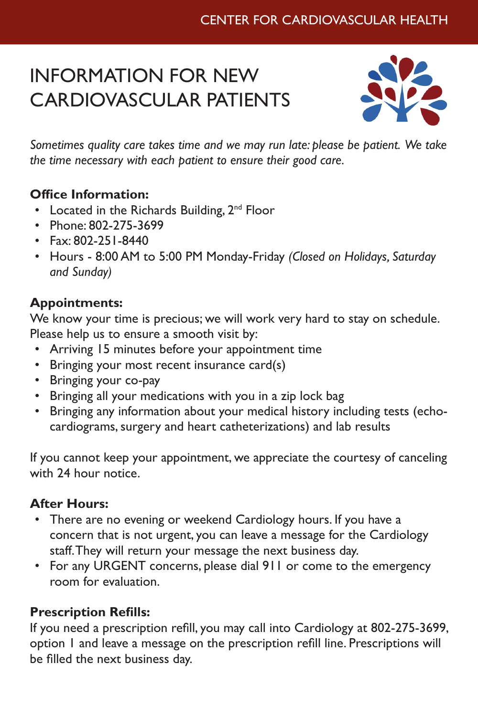# Center for Cardiovascular Health

# INFORMATION FOR NEW CARDIOVASCULAR PATIENTS



*Sometimes quality care takes time and we may run late: please be patient. We take the time necessary with each patient to ensure their good care.*

### **Office Information:**

- Located in the Richards Building,  $2^{nd}$  Floor
- Phone: 802-275-3699
- Fax: 802-251-8440
- Hours 8:00 AM to 5:00 PM Monday-Friday *(Closed on Holidays, Saturday and Sunday)*

### **Appointments:**

We know your time is precious; we will work very hard to stay on schedule. Please help us to ensure a smooth visit by:

- Arriving 15 minutes before your appointment time
- Bringing your most recent insurance card(s)
- Bringing your co-pay
- Bringing all your medications with you in a zip lock bag
- Bringing any information about your medical history including tests (echocardiograms, surgery and heart catheterizations) and lab results

If you cannot keep your appointment, we appreciate the courtesy of canceling with 24 hour notice.

## **After Hours:**

- There are no evening or weekend Cardiology hours. If you have a concern that is not urgent, you can leave a message for the Cardiology staff. They will return your message the next business day.
- For any URGENT concerns, please dial 911 or come to the emergency room for evaluation.

#### **Prescription Refills:**

If you need a prescription refill, you may call into Cardiology at 802-275-3699, option 1 and leave a message on the prescription refill line. Prescriptions will be filled the next business day.